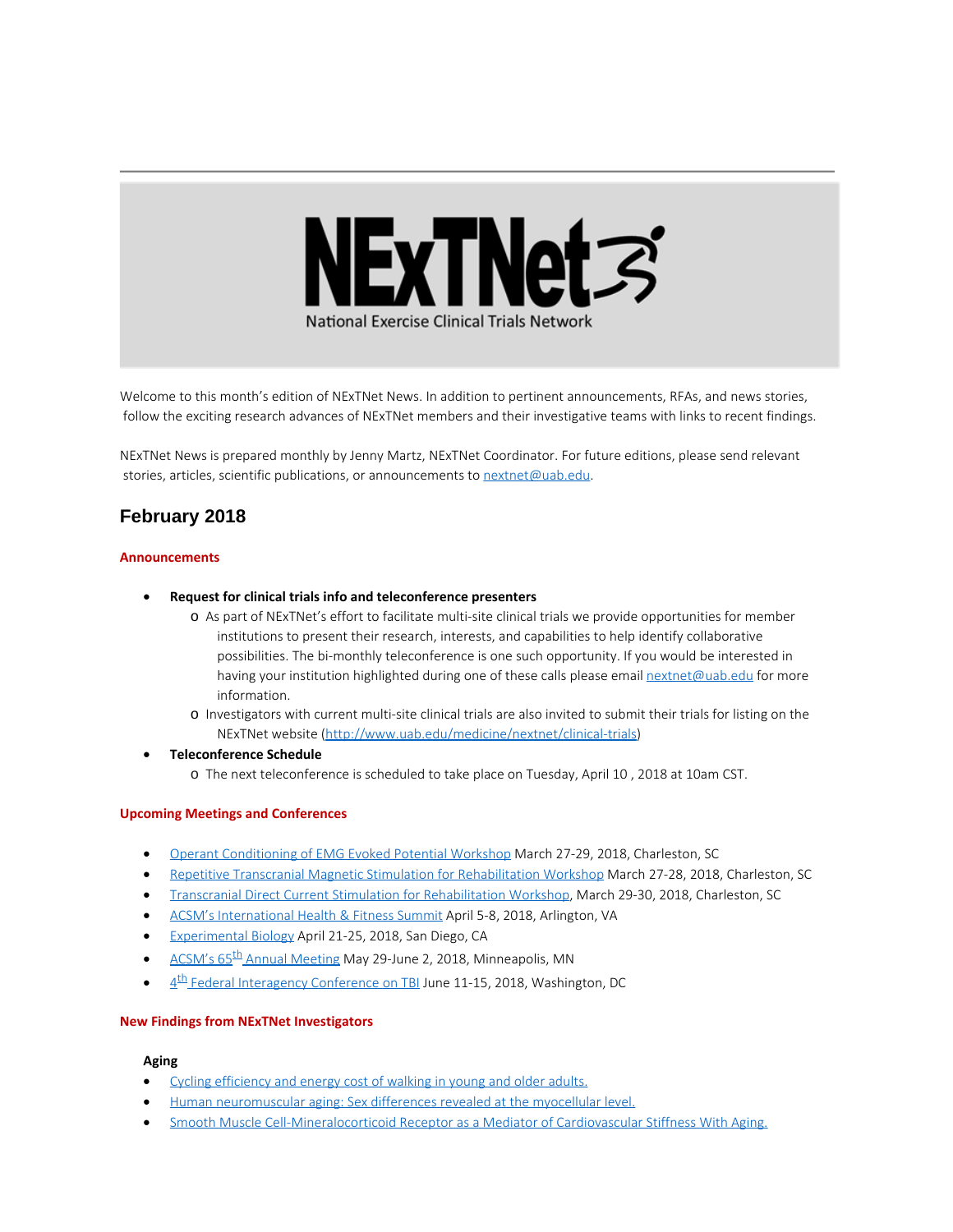

Welcome to this month's edition of NExTNet News. In addition to pertinent announcements, RFAs, and news stories, follow the exciting research advances of NExTNet members and their investigative teams with links to recent findings.

NExTNet News is prepared monthly by Jenny Martz, NExTNet Coordinator. For future editions, please send relevant stories, articles, scientific publications, or announcements to [nextnet@uab.edu](mailto:nextnet@uab.edu).

# **February 2018**

### **Announcements**

- · **Request for clinical trials info and teleconference presenters**
	- o As part of NExTNet's effort to facilitate multi-site clinical trials we provide opportunities for member institutions to present their research, interests, and capabilities to help identify collaborative possibilities. The bi-monthly teleconference is one such opportunity. If you would be interested in having your institution highlighted during one of these calls please email [nextnet@uab.edu](mailto:nextnet@uab.edu) for more information.
	- o Investigators with current multi-site clinical trials are also invited to submit their trials for listing on the NExTNet website [\(http://www.uab.edu/medicine/nextnet/clinical-trials](http://www.uab.edu/medicine/nextnet/clinical-trials))
- · **Teleconference Schedule**
	- o The next teleconference is scheduled to take place on Tuesday, April 10 , 2018 at 10am CST.

### **Upcoming Meetings and Conferences**

- · [Operant Conditioning of EMG Evoked Potential Workshop](http://academicdepartments.musc.edu/ncnm4r/education/workshops/operant.html) March 27-29, 2018, Charleston, SC
- · [Repetitive Transcranial Magnetic Stimulation for Rehabilitation Workshop](http://academicdepartments.musc.edu/ncnm4r/education/workshops/tms.html) March 27-28, 2018, Charleston, SC
- · [Transcranial Direct Current Stimulation for Rehabilitation Workshop](http://academicdepartments.musc.edu/ncnm4r/education/workshops/tdcs.html), March 29-30, 2018, Charleston, SC
- [ACSM's International Health & Fitness Summit](http://acsmsummit.org/) April 5-8, 2018, Arlington, VA
- [Experimental Biology](http://experimentalbiology.org/2018/Home.aspx) April 21-25, 2018, San Diego, CA
- ACSM's 65<sup>th</sup> Annual Meeting May 29-June 2, 2018, Minneapolis, MN
- $4<sup>th</sup>$  Federal Interagency Conference on TBI June 11-15, 2018, Washington, DC

### **New Findings from NExTNet Investigators**

#### **Aging**

- [Cycling efficiency and energy cost of walking in young and older adults.](https://www.ncbi.nlm.nih.gov/pubmed/29146688)
- · [Human neuromuscular aging: Sex differences revealed at the myocellular level.](https://www.ncbi.nlm.nih.gov/pubmed/29481967)
- [Smooth Muscle Cell-Mineralocorticoid Receptor as a Mediator of Cardiovascular Stiffness With Aging.](https://www.ncbi.nlm.nih.gov/pubmed/29463624)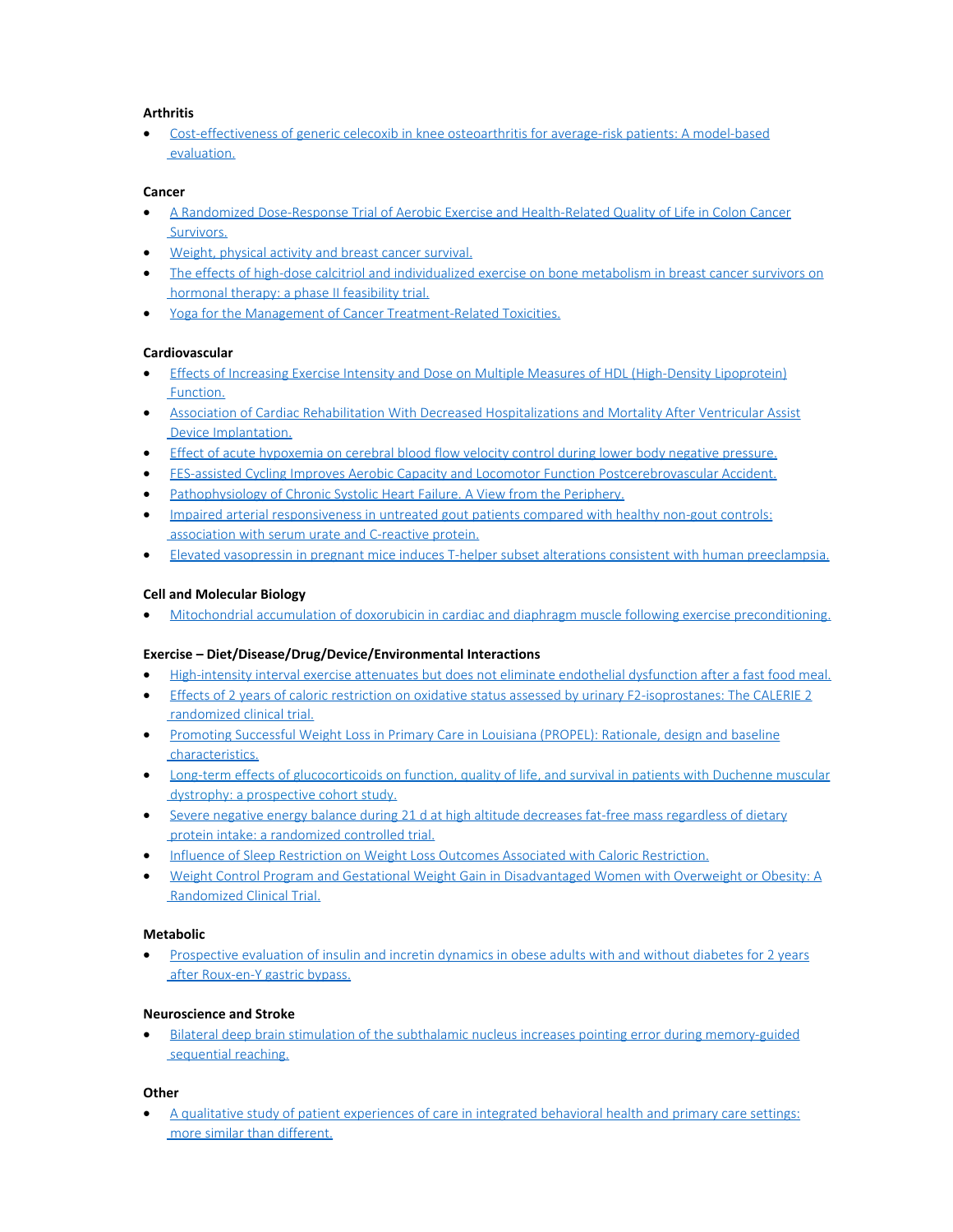### **Arthritis**

[Cost-effectiveness of generic celecoxib in knee osteoarthritis for average-risk patients: A model-based](https://www.ncbi.nlm.nih.gov/pubmed/29481917)  [evaluation.](https://www.ncbi.nlm.nih.gov/pubmed/29481917)

### **Cancer**

- · [A Randomized Dose-Response Trial of Aerobic Exercise and Health-Related Quality of Life in Colon Cancer](http://www.ncbi.nlm.nih.gov/pubmed/29388275)  [Survivors.](http://www.ncbi.nlm.nih.gov/pubmed/29388275)
- · [Weight, physical activity and breast cancer survival.](https://www.ncbi.nlm.nih.gov/pubmed/29478430)
- [The effects of high-dose calcitriol and individualized exercise on bone metabolism in breast cancer survivors on](https://www.ncbi.nlm.nih.gov/pubmed/29470705)  [hormonal therapy: a phase II feasibility trial.](https://www.ncbi.nlm.nih.gov/pubmed/29470705)
- · [Yoga for the Management of Cancer Treatment-Related Toxicities.](https://www.ncbi.nlm.nih.gov/pubmed/29388071)

### **Cardiovascular**

- · [Effects of Increasing Exercise Intensity and Dose on Multiple Measures of HDL \(High-Density Lipoprotein\)](https://www.ncbi.nlm.nih.gov/pubmed/29437573)  [Function.](https://www.ncbi.nlm.nih.gov/pubmed/29437573)
- · [Association of Cardiac Rehabilitation With Decreased Hospitalizations and Mortality After Ventricular Assist](https://www.ncbi.nlm.nih.gov/pubmed/29413368)  [Device Implantation.](https://www.ncbi.nlm.nih.gov/pubmed/29413368)
- · [Effect of acute hypoxemia on cerebral blood flow velocity control during lower body negative pressure.](https://www.ncbi.nlm.nih.gov/pubmed/29464923)
- · [FES-assisted Cycling Improves Aerobic Capacity and Locomotor Function Postcerebrovascular Accident.](https://www.ncbi.nlm.nih.gov/pubmed/29461462)
- [Pathophysiology of Chronic Systolic Heart Failure. A View from the Periphery.](https://www.ncbi.nlm.nih.gov/pubmed/29461891)
- · [Impaired arterial responsiveness in untreated gout patients compared with healthy non-gout controls:](https://www.ncbi.nlm.nih.gov/pubmed/29450849)  [association with serum urate and C-reactive protein.](https://www.ncbi.nlm.nih.gov/pubmed/29450849)
- · [Elevated vasopressin in pregnant mice induces T-helper subset alterations consistent with human preeclampsia.](https://www.ncbi.nlm.nih.gov/pubmed/29371289)

### **Cell and Molecular Biology**

· [Mitochondrial accumulation of doxorubicin in cardiac and diaphragm muscle following exercise preconditioning.](https://www.ncbi.nlm.nih.gov/pubmed/29474837)

### **Exercise – Diet/Disease/Drug/Device/Environmental Interactions**

- · [High-intensity interval exercise attenuates but does not eliminate endothelial dysfunction after a fast food meal.](https://www.ncbi.nlm.nih.gov/pubmed/29101171)
- Effects of 2 [years of caloric restriction on oxidative status assessed by urinary F2-isoprostanes: The CALERIE 2](https://www.ncbi.nlm.nih.gov/pubmed/29424490)  [randomized clinical trial.](https://www.ncbi.nlm.nih.gov/pubmed/29424490)
- · [Promoting Successful Weight Loss in Primary Care in Louisiana \(PROPEL\): Rationale, design and baseline](https://www.ncbi.nlm.nih.gov/pubmed/29408562)  [characteristics.](https://www.ncbi.nlm.nih.gov/pubmed/29408562)
- [Long-term effects of glucocorticoids on function, quality of life, and survival in patients with Duchenne muscular](https://www.ncbi.nlm.nih.gov/pubmed/29174484)  [dystrophy: a prospective cohort study.](https://www.ncbi.nlm.nih.gov/pubmed/29174484)
- · [Severe negative energy balance during 21 d at high altitude decreases fat-free mass regardless of dietary](https://www.ncbi.nlm.nih.gov/pubmed/29066613)  [protein intake: a randomized controlled trial.](https://www.ncbi.nlm.nih.gov/pubmed/29066613)
- · [Influence of Sleep Restriction on Weight Loss Outcomes Associated with Caloric Restriction.](https://www.ncbi.nlm.nih.gov/pubmed/29438540)
- · [Weight Control Program and Gestational Weight Gain in Disadvantaged Women with Overweight or Obesity: A](https://www.ncbi.nlm.nih.gov/pubmed/29464907)  [Randomized Clinical Trial.](https://www.ncbi.nlm.nih.gov/pubmed/29464907)

### **Metabolic**

[Prospective evaluation of insulin and incretin dynamics in obese adults with and without diabetes for 2](https://www.ncbi.nlm.nih.gov/pubmed/29428999) years  [after Roux-en-Y gastric bypass.](https://www.ncbi.nlm.nih.gov/pubmed/29428999)

### **Neuroscience and Stroke**

[Bilateral deep brain stimulation of the subthalamic nucleus increases pointing error during memory-guided](https://www.ncbi.nlm.nih.gov/pubmed/29427240) sequential reaching.

### **Other**

· [A qualitative study of patient experiences of care in integrated behavioral health and primary care settings:](https://www.ncbi.nlm.nih.gov/pubmed/29425354)  [more similar than different.](https://www.ncbi.nlm.nih.gov/pubmed/29425354)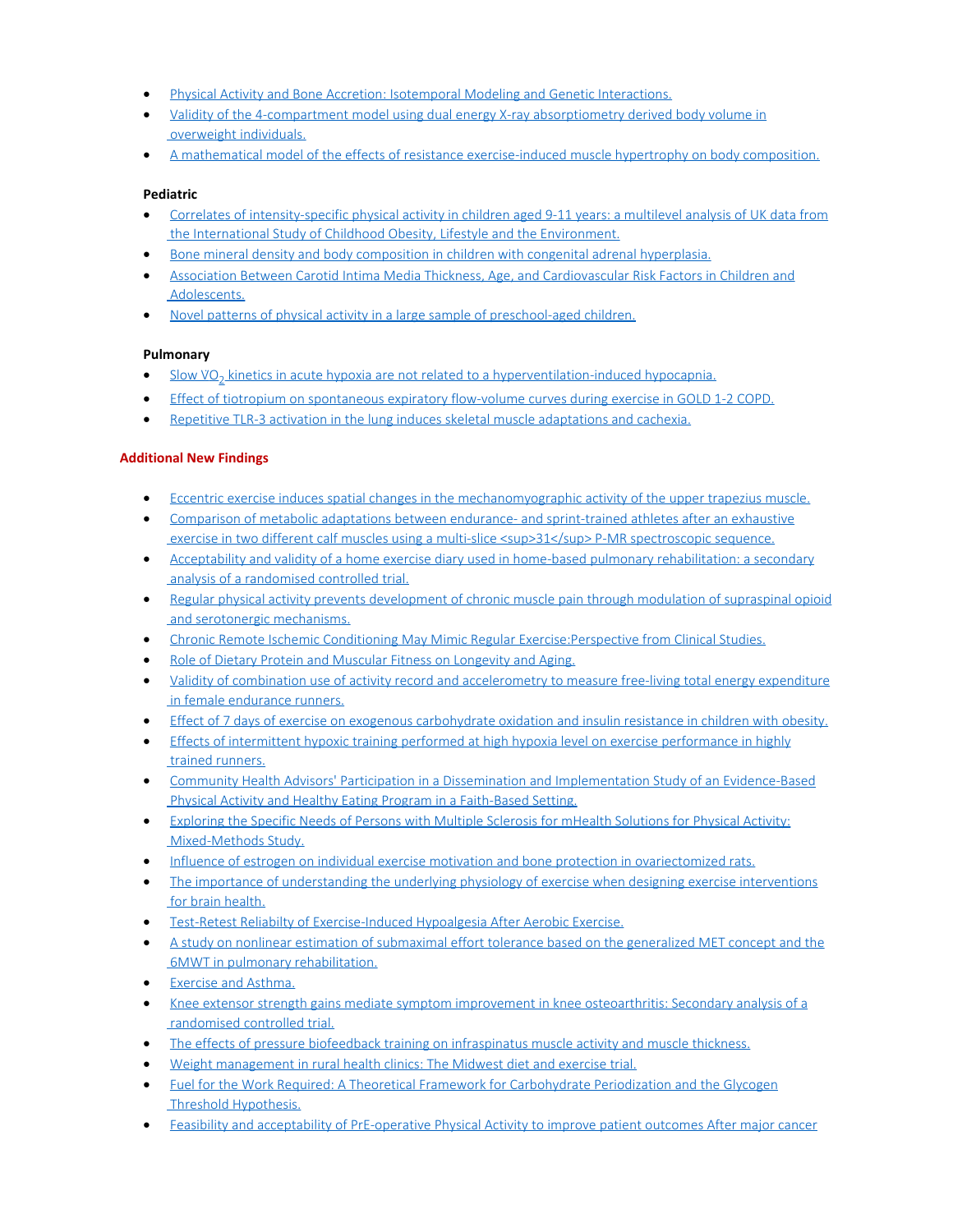- · [Physical Activity and Bone Accretion: Isotemporal Modeling and Genetic Interactions.](https://www.ncbi.nlm.nih.gov/pubmed/29465475)
- · [Validity of the 4-compartment model using dual energy X-ray absorptiometry derived body volume in](https://www.ncbi.nlm.nih.gov/pubmed/29474800)  [overweight individuals.](https://www.ncbi.nlm.nih.gov/pubmed/29474800)
- · [A mathematical model of the effects of resistance exercise-induced muscle hypertrophy on body composition.](https://www.ncbi.nlm.nih.gov/pubmed/29256047)

### **Pediatric**

- [Correlates of intensity-specific physical activity in children aged 9-11 years: a multilevel analysis of UK data from](https://www.ncbi.nlm.nih.gov/pubmed/29431128)  [the International Study of Childhood Obesity, Lifestyle and the Environment.](https://www.ncbi.nlm.nih.gov/pubmed/29431128)
- · [Bone mineral density and body composition in children with congenital adrenal hyperplasia.](https://www.ncbi.nlm.nih.gov/pubmed/29460378)
- [Association Between Carotid Intima Media Thickness, Age, and Cardiovascular Risk Factors in Children and](https://www.ncbi.nlm.nih.gov/pubmed/29412763)  [Adolescents.](https://www.ncbi.nlm.nih.gov/pubmed/29412763)
- · [Novel patterns of physical activity in a large sample of preschool-aged children.](https://www.ncbi.nlm.nih.gov/pubmed/29439704)

### **Pulmonary**

- Slow VO<sub>2</sub> kinetics in acute hypoxia are not related to a hyperventilation-induced hypocapnia.
- [Effect of tiotropium on spontaneous expiratory flow-volume curves during exercise in GOLD 1-2 COPD.](https://www.ncbi.nlm.nih.gov/pubmed/29438808)
- [Repetitive TLR-3 activation in the lung induces skeletal muscle adaptations and cachexia.](https://www.ncbi.nlm.nih.gov/pubmed/29452288)

## **Additional New Findings**

- · [Eccentric exercise induces spatial changes in the mechanomyographic activity of the upper trapezius muscle.](http://www.ncbi.nlm.nih.gov/pubmed/29394519)
- · [Comparison of metabolic adaptations between endurance- and sprint-trained athletes after an exhaustive](http://www.ncbi.nlm.nih.gov/pubmed/29393546) exercise in two different calf muscles using a multi-slice <sup>31</sup>P-MR spectroscopic sequence.
- [Acceptability and validity of a home exercise diary used in home-based pulmonary rehabilitation: a secondary](http://www.ncbi.nlm.nih.gov/pubmed/29392881)  [analysis of a randomised controlled trial.](http://www.ncbi.nlm.nih.gov/pubmed/29392881)
- [Regular physical activity prevents development of chronic muscle pain through modulation of supraspinal opioid](http://www.ncbi.nlm.nih.gov/pubmed/29392233)  [and serotonergic mechanisms.](http://www.ncbi.nlm.nih.gov/pubmed/29392233)
- · [Chronic Remote Ischemic Conditioning May Mimic Regular Exercise:Perspective from Clinical Studies.](http://www.ncbi.nlm.nih.gov/pubmed/29392091)
- · [Role of Dietary Protein and Muscular Fitness on Longevity and Aging.](http://www.ncbi.nlm.nih.gov/pubmed/29392087)
- · [Validity of combination use of activity record and accelerometry to measure free-living total energy expenditure](http://www.ncbi.nlm.nih.gov/pubmed/29389693)  [in female endurance runners.](http://www.ncbi.nlm.nih.gov/pubmed/29389693)
- · [Effect of 7 days of exercise on exogenous carbohydrate oxidation and insulin resistance in children with obesity.](http://www.ncbi.nlm.nih.gov/pubmed/29394488)
- [Effects of intermittent hypoxic training performed at high hypoxia level on exercise performance in highly](http://www.ncbi.nlm.nih.gov/pubmed/29394148)  [trained runners.](http://www.ncbi.nlm.nih.gov/pubmed/29394148)
- · [Community Health Advisors' Participation in a Dissemination and Implementation Study of an Evidence-Based](http://www.ncbi.nlm.nih.gov/pubmed/29427128)  [Physical Activity and Healthy Eating Program in a Faith-Based Setting.](http://www.ncbi.nlm.nih.gov/pubmed/29427128)
- [Exploring the Specific Needs of Persons with Multiple Sclerosis for mHealth Solutions for Physical Activity:](http://www.ncbi.nlm.nih.gov/pubmed/29426814)  [Mixed-Methods Study.](http://www.ncbi.nlm.nih.gov/pubmed/29426814)
- · [Influence of estrogen on individual exercise motivation and bone protection in ovariectomized rats.](http://www.ncbi.nlm.nih.gov/pubmed/29426272)
- [The importance of understanding the underlying physiology of exercise when designing exercise interventions](http://www.ncbi.nlm.nih.gov/pubmed/29425407)  [for brain health.](http://www.ncbi.nlm.nih.gov/pubmed/29425407)
- · [Test-Retest Reliabilty of Exercise-Induced Hypoalgesia After Aerobic Exercise.](http://www.ncbi.nlm.nih.gov/pubmed/29425326)
- [A study on nonlinear estimation of submaximal effort tolerance based on the generalized MET concept and the](http://www.ncbi.nlm.nih.gov/pubmed/29425213)  [6MWT in pulmonary rehabilitation.](http://www.ncbi.nlm.nih.gov/pubmed/29425213)
- · [Exercise and Asthma.](http://www.ncbi.nlm.nih.gov/pubmed/29427982)
- · [Knee extensor strength gains mediate symptom improvement in knee osteoarthritis: Secondary analysis of a](http://www.ncbi.nlm.nih.gov/pubmed/29427725)  [randomised controlled trial.](http://www.ncbi.nlm.nih.gov/pubmed/29427725)
- [The effects of pressure biofeedback training on infraspinatus muscle activity and muscle thickness.](http://www.ncbi.nlm.nih.gov/pubmed/29454230)
- · [Weight management in rural health clinics: The Midwest diet and exercise trial.](http://www.ncbi.nlm.nih.gov/pubmed/29454140)
- [Fuel for the Work Required: A Theoretical Framework for Carbohydrate Periodization and the Glycogen](http://www.ncbi.nlm.nih.gov/pubmed/29453741)  [Threshold Hypothesis.](http://www.ncbi.nlm.nih.gov/pubmed/29453741)
- [Feasibility and acceptability of PrE-operative Physical Activity to improve patient outcomes After major cancer](http://www.ncbi.nlm.nih.gov/pubmed/29452599)